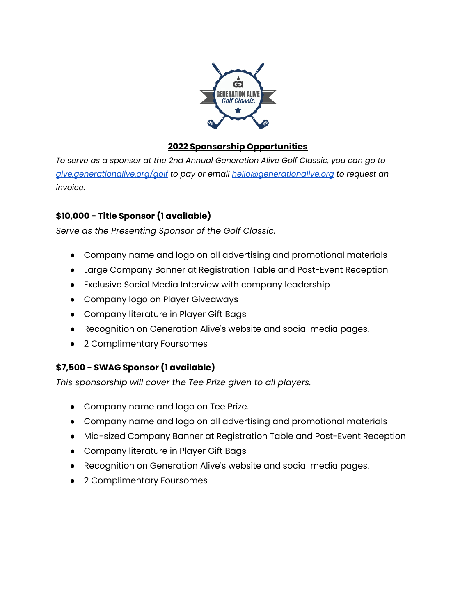

## **2022 Sponsorship Opportunities**

*To serve as a sponsor at the 2nd Annual Generation Alive Golf Classic, you can go to [give.generationalive.org/golf](http://give.generationalive.org/golf) to pay or email [hello@generationalive.org](mailto:hello@generationalive.org) to request an invoice.*

## **\$10,000 - Title Sponsor (1 available)**

*Serve as the Presenting Sponsor of the Golf Classic.*

- Company name and logo on all advertising and promotional materials
- Large Company Banner at Registration Table and Post-Event Reception
- Exclusive Social Media Interview with company leadership
- Company logo on Player Giveaways
- Company literature in Player Gift Bags
- Recognition on Generation Alive's website and social media pages.
- 2 Complimentary Foursomes

# **\$7,500 - SWAG Sponsor (1 available)**

*This sponsorship will cover the Tee Prize given to all players.*

- Company name and logo on Tee Prize.
- Company name and logo on all advertising and promotional materials
- Mid-sized Company Banner at Registration Table and Post-Event Reception
- Company literature in Player Gift Bags
- Recognition on Generation Alive's website and social media pages.
- 2 Complimentary Foursomes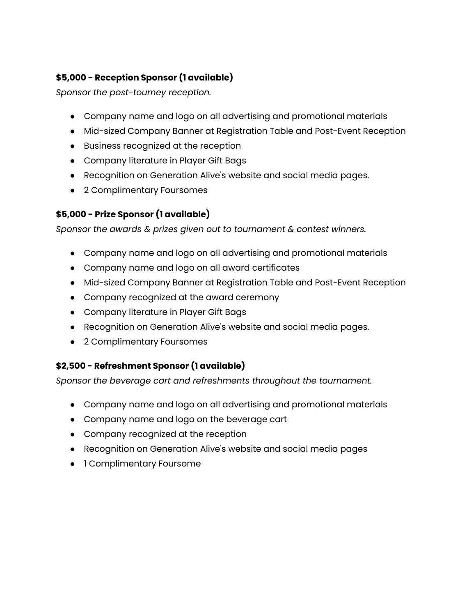# **\$5,000 - Reception Sponsor (1 available)**

*Sponsor the post-tourney reception.*

- Company name and logo on all advertising and promotional materials
- Mid-sized Company Banner at Registration Table and Post-Event Reception
- Business recognized at the reception
- Company literature in Player Gift Bags
- Recognition on Generation Alive's website and social media pages.
- 2 Complimentary Foursomes

#### **\$5,000 - Prize Sponsor (1 available)**

*Sponsor the awards & prizes given out to tournament & contest winners.*

- Company name and logo on all advertising and promotional materials
- Company name and logo on all award certificates
- Mid-sized Company Banner at Registration Table and Post-Event Reception
- Company recognized at the award ceremony
- Company literature in Player Gift Bags
- Recognition on Generation Alive's website and social media pages.
- 2 Complimentary Foursomes

#### **\$2,500 - Refreshment Sponsor (1 available)**

*Sponsor the beverage cart and refreshments throughout the tournament.*

- Company name and logo on all advertising and promotional materials
- Company name and logo on the beverage cart
- Company recognized at the reception
- Recognition on Generation Alive's website and social media pages
- 1 Complimentary Foursome